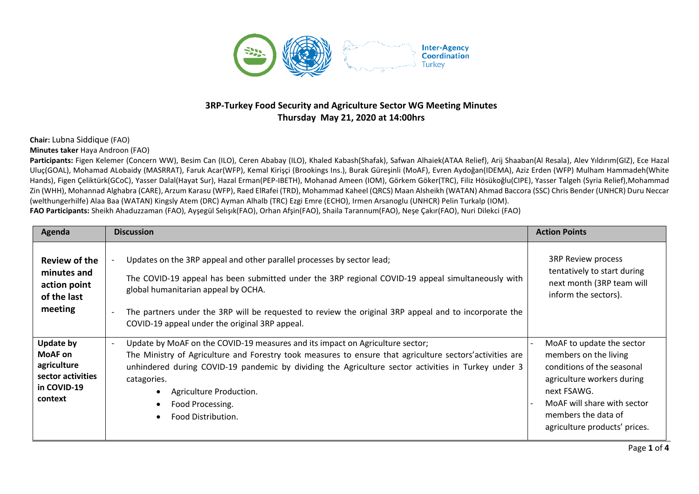

## **3RP-Turkey Food Security and Agriculture Sector WG Meeting Minutes Thursday May 21, 2020 at 14:00hrs**

## **Chair:** Lubna Siddique (FAO)

## **Minutes taker** Haya Androon (FAO)

Participants: Figen Kelemer (Concern WW), Besim Can (ILO), Ceren Ababay (ILO), Khaled Kabash(Shafak), Safwan Alhaiek(ATAA Relief), Arij Shaaban(Al Resala), Alev Yıldırım(GIZ), Ece Hazal Uluç(GOAL), Mohamad ALobaidy (MASRRAT), Faruk Acar(WFP), Kemal Kirişçi (Brookings Ins.), Burak Güreşinli (MoAF), Evren Aydoğan(IDEMA), Aziz Erden (WFP) Mulham Hammadeh(White Hands), Figen Çeliktürk(GCoC), Yasser Dalal(Hayat Sur), Hazal Erman(PEP-IBETH), Mohanad Ameen (IOM), Görkem Göker(TRC), Filiz Hösükoğlu(CIPE), Yasser Talgeh (Syria Relief),Mohammad Zin (WHH), Mohannad Alghabra (CARE), Arzum Karasu (WFP), Raed ElRafei (TRD), Mohammad Kaheel (QRCS) Maan Alsheikh (WATAN) Ahmad Baccora (SSC) Chris Bender (UNHCR) Duru Neccar (welthungerhilfe) Alaa Baa (WATAN) Kingsly Atem (DRC) Ayman Alhalb (TRC) Ezgi Emre (ECHO), Irmen Arsanoglu (UNHCR) Pelin Turkalp (IOM).

**FAO Participants:** Sheikh Ahaduzzaman (FAO), Ayşegül Selışık(FAO), Orhan Afşin(FAO), Shaila Tarannum(FAO), Neşe Çakır(FAO), Nuri Dilekci (FAO)

| Agenda                                                                             | <b>Discussion</b>                                                                                                                                                                                                                                                                                                                                                                                                 | <b>Action Points</b>                                                                                                                                                                                                 |
|------------------------------------------------------------------------------------|-------------------------------------------------------------------------------------------------------------------------------------------------------------------------------------------------------------------------------------------------------------------------------------------------------------------------------------------------------------------------------------------------------------------|----------------------------------------------------------------------------------------------------------------------------------------------------------------------------------------------------------------------|
| Review of the<br>minutes and<br>action point<br>of the last<br>meeting             | Updates on the 3RP appeal and other parallel processes by sector lead;<br>The COVID-19 appeal has been submitted under the 3RP regional COVID-19 appeal simultaneously with<br>global humanitarian appeal by OCHA.<br>The partners under the 3RP will be requested to review the original 3RP appeal and to incorporate the<br>COVID-19 appeal under the original 3RP appeal.                                     | <b>3RP Review process</b><br>tentatively to start during<br>next month (3RP team will<br>inform the sectors).                                                                                                        |
| Update by<br>MoAF on<br>agriculture<br>sector activities<br>in COVID-19<br>context | Update by MoAF on the COVID-19 measures and its impact on Agriculture sector;<br>$\overline{\phantom{a}}$<br>The Ministry of Agriculture and Forestry took measures to ensure that agriculture sectors' activities are<br>unhindered during COVID-19 pandemic by dividing the Agriculture sector activities in Turkey under 3<br>catagories.<br>Agriculture Production.<br>Food Processing.<br>Food Distribution. | MoAF to update the sector<br>members on the living<br>conditions of the seasonal<br>agriculture workers during<br>next FSAWG.<br>MoAF will share with sector<br>members the data of<br>agriculture products' prices. |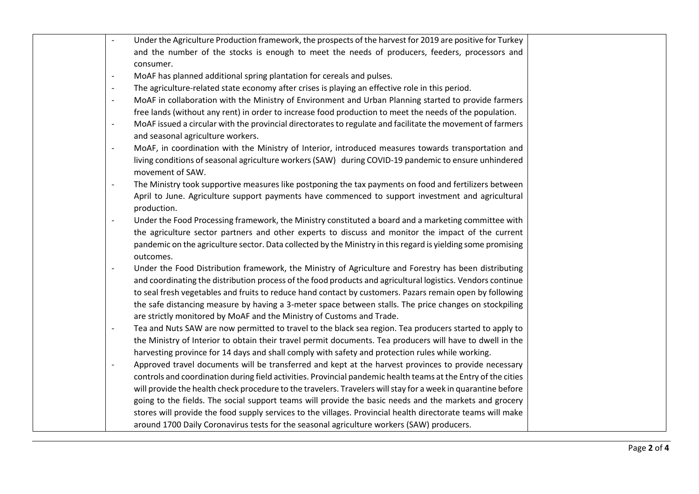| Under the Agriculture Production framework, the prospects of the harvest for 2019 are positive for Turkey<br>$\blacksquare$            |  |
|----------------------------------------------------------------------------------------------------------------------------------------|--|
| and the number of the stocks is enough to meet the needs of producers, feeders, processors and                                         |  |
| consumer.                                                                                                                              |  |
| MoAF has planned additional spring plantation for cereals and pulses.<br>$\overline{\phantom{a}}$                                      |  |
| The agriculture-related state economy after crises is playing an effective role in this period.<br>$\overline{\phantom{a}}$            |  |
| MoAF in collaboration with the Ministry of Environment and Urban Planning started to provide farmers<br>$\overline{\phantom{a}}$       |  |
| free lands (without any rent) in order to increase food production to meet the needs of the population.                                |  |
| MoAF issued a circular with the provincial directorates to regulate and facilitate the movement of farmers<br>$\overline{\phantom{a}}$ |  |
| and seasonal agriculture workers.                                                                                                      |  |
| MoAF, in coordination with the Ministry of Interior, introduced measures towards transportation and<br>$\frac{1}{2}$                   |  |
| living conditions of seasonal agriculture workers (SAW) during COVID-19 pandemic to ensure unhindered<br>movement of SAW.              |  |
| The Ministry took supportive measures like postponing the tax payments on food and fertilizers between<br>$\overline{\phantom{a}}$     |  |
| April to June. Agriculture support payments have commenced to support investment and agricultural<br>production.                       |  |
| Under the Food Processing framework, the Ministry constituted a board and a marketing committee with<br>$\overline{\phantom{a}}$       |  |
| the agriculture sector partners and other experts to discuss and monitor the impact of the current                                     |  |
| pandemic on the agriculture sector. Data collected by the Ministry in this regard is yielding some promising<br>outcomes.              |  |
| Under the Food Distribution framework, the Ministry of Agriculture and Forestry has been distributing<br>$\overline{\phantom{a}}$      |  |
| and coordinating the distribution process of the food products and agricultural logistics. Vendors continue                            |  |
| to seal fresh vegetables and fruits to reduce hand contact by customers. Pazars remain open by following                               |  |
| the safe distancing measure by having a 3-meter space between stalls. The price changes on stockpiling                                 |  |
| are strictly monitored by MoAF and the Ministry of Customs and Trade.                                                                  |  |
| Tea and Nuts SAW are now permitted to travel to the black sea region. Tea producers started to apply to<br>$\overline{\phantom{a}}$    |  |
| the Ministry of Interior to obtain their travel permit documents. Tea producers will have to dwell in the                              |  |
| harvesting province for 14 days and shall comply with safety and protection rules while working.                                       |  |
| Approved travel documents will be transferred and kept at the harvest provinces to provide necessary<br>$\overline{\phantom{0}}$       |  |
| controls and coordination during field activities. Provincial pandemic health teams at the Entry of the cities                         |  |
| will provide the health check procedure to the travelers. Travelers will stay for a week in quarantine before                          |  |
| going to the fields. The social support teams will provide the basic needs and the markets and grocery                                 |  |
| stores will provide the food supply services to the villages. Provincial health directorate teams will make                            |  |
| around 1700 Daily Coronavirus tests for the seasonal agriculture workers (SAW) producers.                                              |  |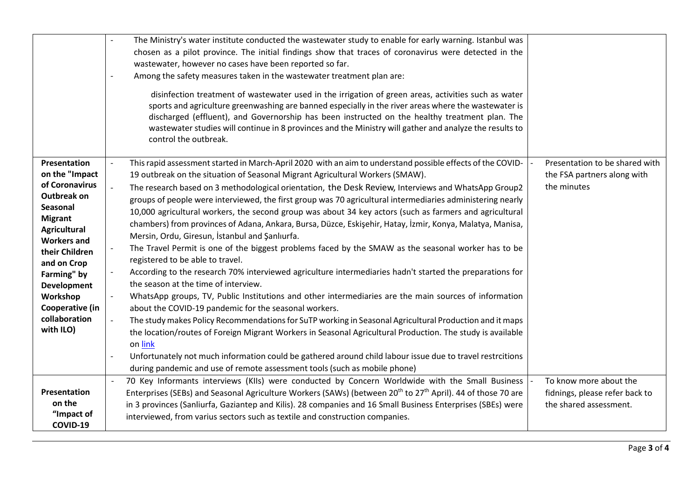|                                                                                                                                                                                                                                                                                      | The Ministry's water institute conducted the wastewater study to enable for early warning. Istanbul was<br>chosen as a pilot province. The initial findings show that traces of coronavirus were detected in the<br>wastewater, however no cases have been reported so far.<br>Among the safety measures taken in the wastewater treatment plan are:<br>disinfection treatment of wastewater used in the irrigation of green areas, activities such as water<br>sports and agriculture greenwashing are banned especially in the river areas where the wastewater is<br>discharged (effluent), and Governorship has been instructed on the healthy treatment plan. The<br>wastewater studies will continue in 8 provinces and the Ministry will gather and analyze the results to<br>control the outbreak.                                                                                                                                                                                                                                                                                                                                                                                                                                                                                                                                                                                                                                                                                                                                                                                |                                                                                    |
|--------------------------------------------------------------------------------------------------------------------------------------------------------------------------------------------------------------------------------------------------------------------------------------|-------------------------------------------------------------------------------------------------------------------------------------------------------------------------------------------------------------------------------------------------------------------------------------------------------------------------------------------------------------------------------------------------------------------------------------------------------------------------------------------------------------------------------------------------------------------------------------------------------------------------------------------------------------------------------------------------------------------------------------------------------------------------------------------------------------------------------------------------------------------------------------------------------------------------------------------------------------------------------------------------------------------------------------------------------------------------------------------------------------------------------------------------------------------------------------------------------------------------------------------------------------------------------------------------------------------------------------------------------------------------------------------------------------------------------------------------------------------------------------------------------------------------------------------------------------------------------------------|------------------------------------------------------------------------------------|
| Presentation<br>on the "Impact<br>of Coronavirus<br><b>Outbreak on</b><br>Seasonal<br><b>Migrant</b><br><b>Agricultural</b><br><b>Workers and</b><br>their Children<br>and on Crop<br>Farming" by<br><b>Development</b><br>Workshop<br>Cooperative (in<br>collaboration<br>with ILO) | This rapid assessment started in March-April 2020 with an aim to understand possible effects of the COVID-<br>19 outbreak on the situation of Seasonal Migrant Agricultural Workers (SMAW).<br>The research based on 3 methodological orientation, the Desk Review, Interviews and WhatsApp Group2<br>groups of people were interviewed, the first group was 70 agricultural intermediaries administering nearly<br>10,000 agricultural workers, the second group was about 34 key actors (such as farmers and agricultural<br>chambers) from provinces of Adana, Ankara, Bursa, Düzce, Eskişehir, Hatay, İzmir, Konya, Malatya, Manisa,<br>Mersin, Ordu, Giresun, İstanbul and Şanlıurfa.<br>The Travel Permit is one of the biggest problems faced by the SMAW as the seasonal worker has to be<br>registered to be able to travel.<br>According to the research 70% interviewed agriculture intermediaries hadn't started the preparations for<br>the season at the time of interview.<br>WhatsApp groups, TV, Public Institutions and other intermediaries are the main sources of information<br>about the COVID-19 pandemic for the seasonal workers.<br>The study makes Policy Recommendations for SuTP working in Seasonal Agricultural Production and it maps<br>the location/routes of Foreign Migrant Workers in Seasonal Agricultural Production. The study is available<br>on link<br>Unfortunately not much information could be gathered around child labour issue due to travel restrcitions<br>during pandemic and use of remote assessment tools (such as mobile phone) | Presentation to be shared with<br>the FSA partners along with<br>the minutes       |
| <b>Presentation</b><br>on the<br>"Impact of<br>COVID-19                                                                                                                                                                                                                              | 70 Key Informants interviews (KIIs) were conducted by Concern Worldwide with the Small Business<br>Enterprises (SEBs) and Seasonal Agriculture Workers (SAWs) (between 20 <sup>th</sup> to 27 <sup>th</sup> April). 44 of those 70 are<br>in 3 provinces (Sanliurfa, Gaziantep and Kilis). 28 companies and 16 Small Business Enterprises (SBEs) were<br>interviewed, from varius sectors such as textile and construction companies.                                                                                                                                                                                                                                                                                                                                                                                                                                                                                                                                                                                                                                                                                                                                                                                                                                                                                                                                                                                                                                                                                                                                                     | To know more about the<br>fidnings, please refer back to<br>the shared assessment. |